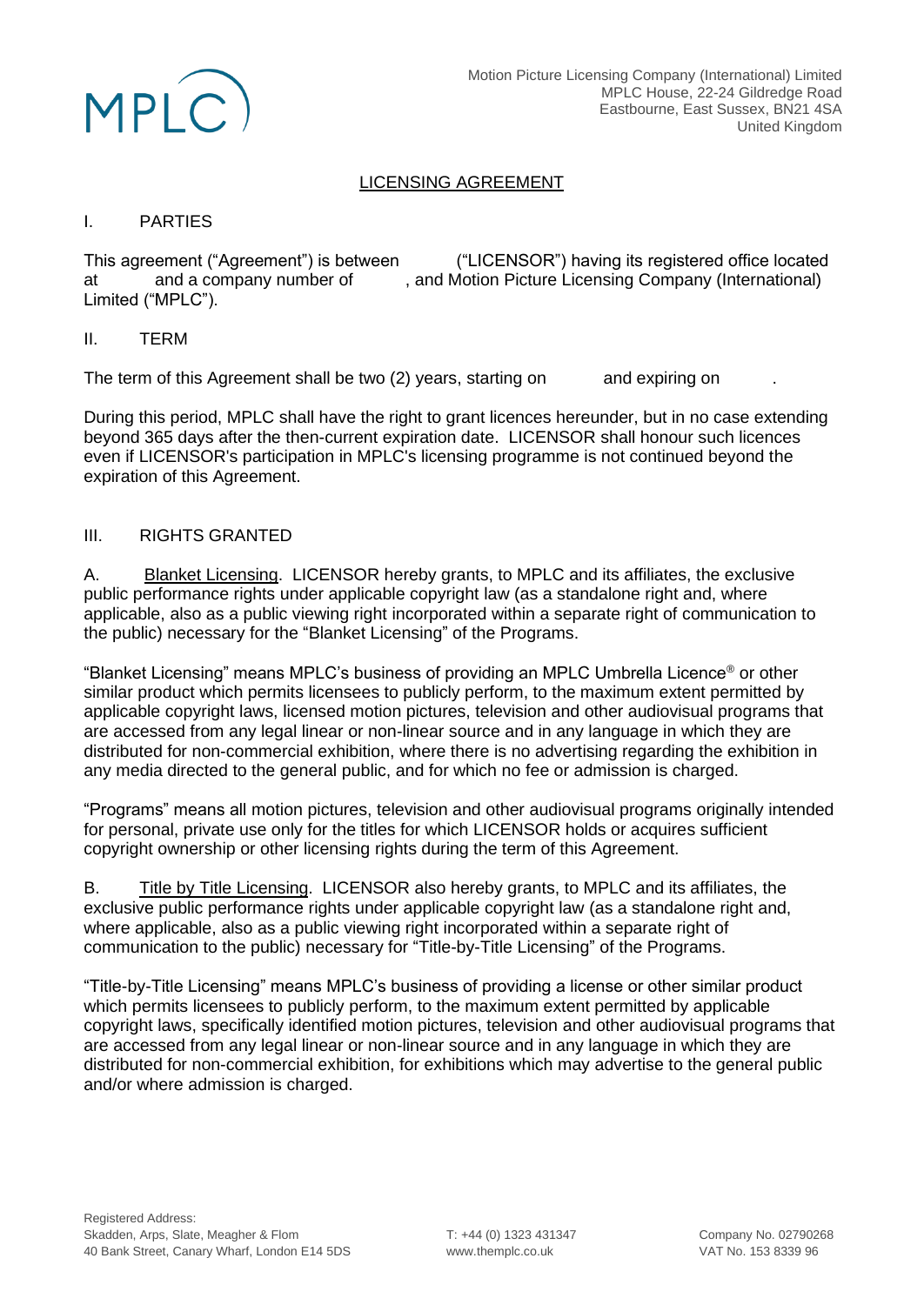

# LICENSING AGREEMENT

### I. PARTIES

This agreement ("Agreement") is between ("LICENSOR") having its registered office located<br>at and a company number of , and Motion Picture Licensing Company (International) at and a company number of , and Motion Picture Licensing Company (International) Limited ("MPLC").

### II. TERM

The term of this Agreement shall be two (2) years, starting on and expiring on

During this period, MPLC shall have the right to grant licences hereunder, but in no case extending beyond 365 days after the then-current expiration date. LICENSOR shall honour such licences even if LICENSOR's participation in MPLC's licensing programme is not continued beyond the expiration of this Agreement.

## III. RIGHTS GRANTED

A. Blanket Licensing. LICENSOR hereby grants, to MPLC and its affiliates, the exclusive public performance rights under applicable copyright law (as a standalone right and, where applicable, also as a public viewing right incorporated within a separate right of communication to the public) necessary for the "Blanket Licensing" of the Programs.

"Blanket Licensing" means MPLC's business of providing an MPLC Umbrella Licence® or other similar product which permits licensees to publicly perform, to the maximum extent permitted by applicable copyright laws, licensed motion pictures, television and other audiovisual programs that are accessed from any legal linear or non-linear source and in any language in which they are distributed for non-commercial exhibition, where there is no advertising regarding the exhibition in any media directed to the general public, and for which no fee or admission is charged.

"Programs" means all motion pictures, television and other audiovisual programs originally intended for personal, private use only for the titles for which LICENSOR holds or acquires sufficient copyright ownership or other licensing rights during the term of this Agreement.

B. Title by Title Licensing. LICENSOR also hereby grants, to MPLC and its affiliates, the exclusive public performance rights under applicable copyright law (as a standalone right and, where applicable, also as a public viewing right incorporated within a separate right of communication to the public) necessary for "Title-by-Title Licensing" of the Programs.

"Title-by-Title Licensing" means MPLC's business of providing a license or other similar product which permits licensees to publicly perform, to the maximum extent permitted by applicable copyright laws, specifically identified motion pictures, television and other audiovisual programs that are accessed from any legal linear or non-linear source and in any language in which they are distributed for non-commercial exhibition, for exhibitions which may advertise to the general public and/or where admission is charged.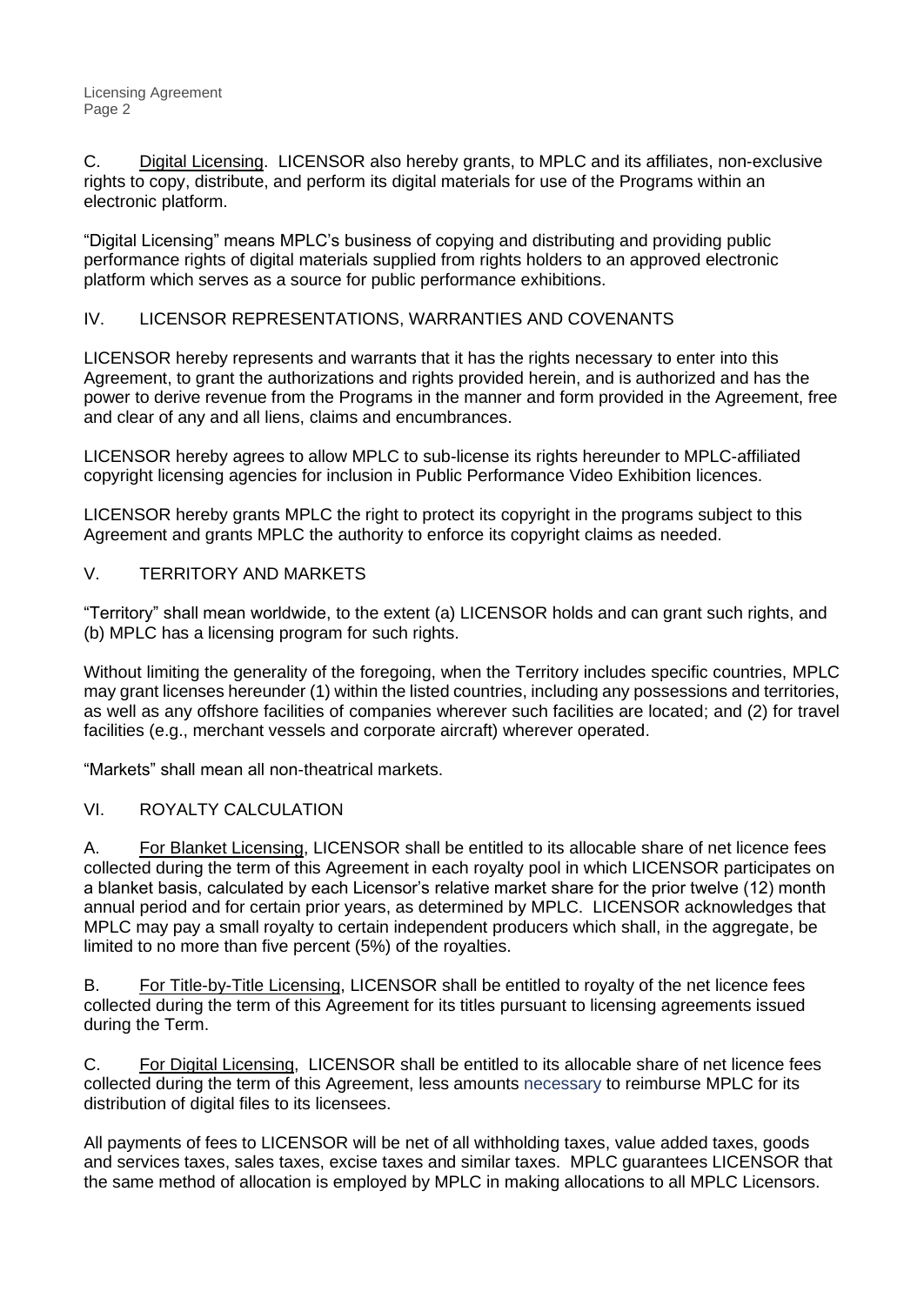C. Digital Licensing. LICENSOR also hereby grants, to MPLC and its affiliates, non-exclusive rights to copy, distribute, and perform its digital materials for use of the Programs within an electronic platform.

"Digital Licensing" means MPLC's business of copying and distributing and providing public performance rights of digital materials supplied from rights holders to an approved electronic platform which serves as a source for public performance exhibitions.

# IV. LICENSOR REPRESENTATIONS, WARRANTIES AND COVENANTS

LICENSOR hereby represents and warrants that it has the rights necessary to enter into this Agreement, to grant the authorizations and rights provided herein, and is authorized and has the power to derive revenue from the Programs in the manner and form provided in the Agreement, free and clear of any and all liens, claims and encumbrances.

LICENSOR hereby agrees to allow MPLC to sub-license its rights hereunder to MPLC-affiliated copyright licensing agencies for inclusion in Public Performance Video Exhibition licences.

LICENSOR hereby grants MPLC the right to protect its copyright in the programs subject to this Agreement and grants MPLC the authority to enforce its copyright claims as needed.

## V. TERRITORY AND MARKETS

"Territory" shall mean worldwide, to the extent (a) LICENSOR holds and can grant such rights, and (b) MPLC has a licensing program for such rights.

Without limiting the generality of the foregoing, when the Territory includes specific countries, MPLC may grant licenses hereunder (1) within the listed countries, including any possessions and territories, as well as any offshore facilities of companies wherever such facilities are located; and (2) for travel facilities (e.g., merchant vessels and corporate aircraft) wherever operated.

"Markets" shall mean all non-theatrical markets.

# VI. ROYALTY CALCULATION

A. For Blanket Licensing, LICENSOR shall be entitled to its allocable share of net licence fees collected during the term of this Agreement in each royalty pool in which LICENSOR participates on a blanket basis, calculated by each Licensor's relative market share for the prior twelve (12) month annual period and for certain prior years, as determined by MPLC. LICENSOR acknowledges that MPLC may pay a small royalty to certain independent producers which shall, in the aggregate, be limited to no more than five percent (5%) of the royalties.

B. For Title-by-Title Licensing, LICENSOR shall be entitled to royalty of the net licence fees collected during the term of this Agreement for its titles pursuant to licensing agreements issued during the Term.

C. For Digital Licensing, LICENSOR shall be entitled to its allocable share of net licence fees collected during the term of this Agreement, less amounts necessary to reimburse MPLC for its distribution of digital files to its licensees.

All payments of fees to LICENSOR will be net of all withholding taxes, value added taxes, goods and services taxes, sales taxes, excise taxes and similar taxes. MPLC guarantees LICENSOR that the same method of allocation is employed by MPLC in making allocations to all MPLC Licensors.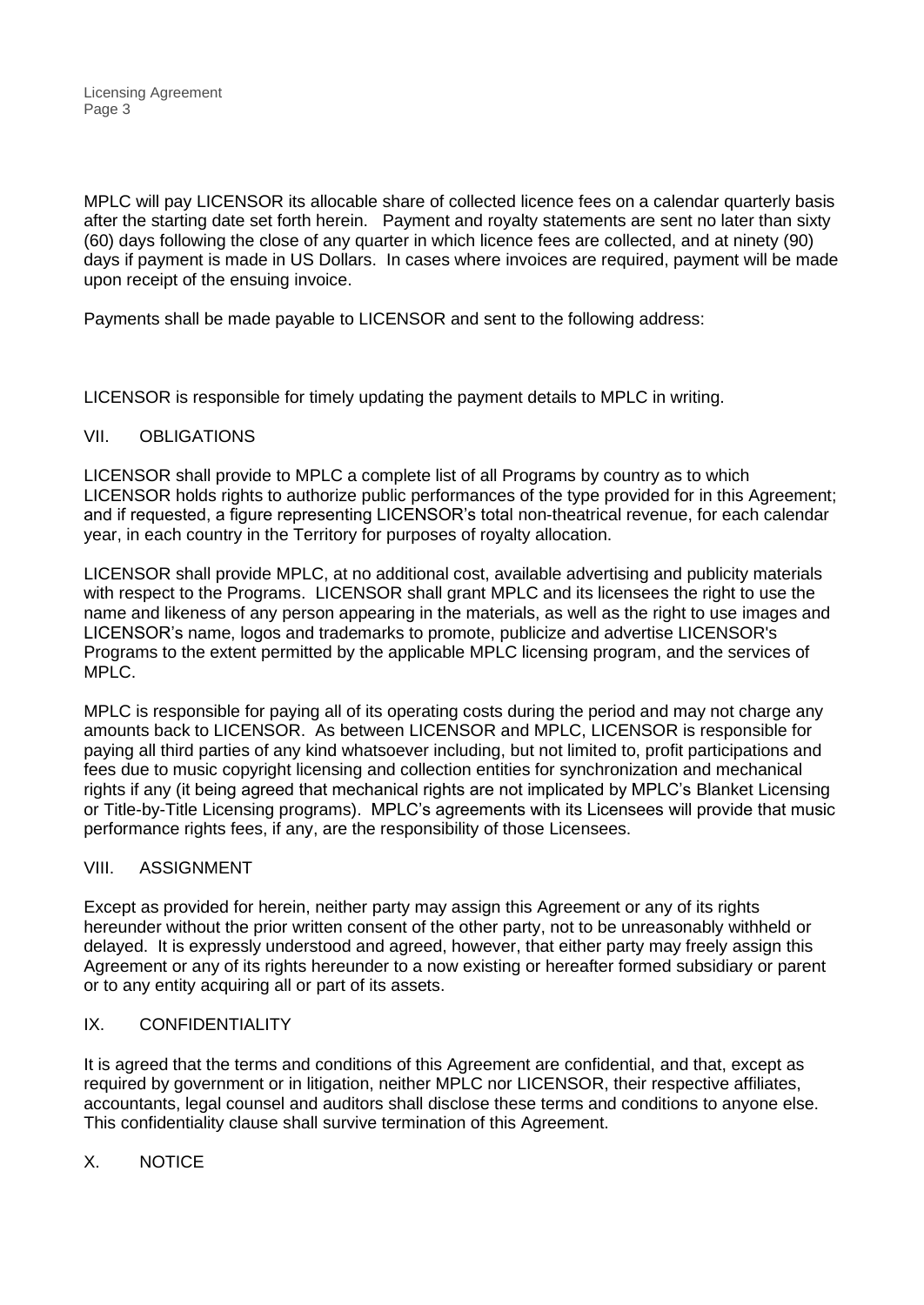MPLC will pay LICENSOR its allocable share of collected licence fees on a calendar quarterly basis after the starting date set forth herein. Payment and royalty statements are sent no later than sixty (60) days following the close of any quarter in which licence fees are collected, and at ninety (90) days if payment is made in US Dollars. In cases where invoices are required, payment will be made upon receipt of the ensuing invoice.

Payments shall be made payable to LICENSOR and sent to the following address:

LICENSOR is responsible for timely updating the payment details to MPLC in writing.

## VII. OBLIGATIONS

LICENSOR shall provide to MPLC a complete list of all Programs by country as to which LICENSOR holds rights to authorize public performances of the type provided for in this Agreement; and if requested, a figure representing LICENSOR's total non-theatrical revenue, for each calendar year, in each country in the Territory for purposes of royalty allocation.

LICENSOR shall provide MPLC, at no additional cost, available advertising and publicity materials with respect to the Programs. LICENSOR shall grant MPLC and its licensees the right to use the name and likeness of any person appearing in the materials, as well as the right to use images and LICENSOR's name, logos and trademarks to promote, publicize and advertise LICENSOR's Programs to the extent permitted by the applicable MPLC licensing program, and the services of MPLC.

MPLC is responsible for paying all of its operating costs during the period and may not charge any amounts back to LICENSOR. As between LICENSOR and MPLC, LICENSOR is responsible for paying all third parties of any kind whatsoever including, but not limited to, profit participations and fees due to music copyright licensing and collection entities for synchronization and mechanical rights if any (it being agreed that mechanical rights are not implicated by MPLC's Blanket Licensing or Title-by-Title Licensing programs). MPLC's agreements with its Licensees will provide that music performance rights fees, if any, are the responsibility of those Licensees.

## VIII. ASSIGNMENT

Except as provided for herein, neither party may assign this Agreement or any of its rights hereunder without the prior written consent of the other party, not to be unreasonably withheld or delayed. It is expressly understood and agreed, however, that either party may freely assign this Agreement or any of its rights hereunder to a now existing or hereafter formed subsidiary or parent or to any entity acquiring all or part of its assets.

# IX. CONFIDENTIALITY

It is agreed that the terms and conditions of this Agreement are confidential, and that, except as required by government or in litigation, neither MPLC nor LICENSOR, their respective affiliates, accountants, legal counsel and auditors shall disclose these terms and conditions to anyone else. This confidentiality clause shall survive termination of this Agreement.

## X. NOTICE